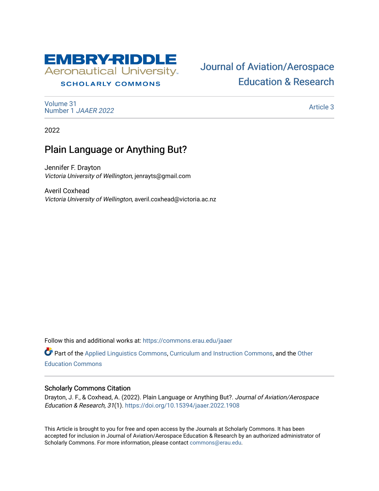

# **SCHOLARLY COMMONS**

[Volume 31](https://commons.erau.edu/jaaer/vol31) [Number 1](https://commons.erau.edu/jaaer/vol31/iss1) JAAER 2022

# [Journal of Aviation/Aerospace](https://commons.erau.edu/jaaer)  [Education & Research](https://commons.erau.edu/jaaer)

[Article 3](https://commons.erau.edu/jaaer/vol31/iss1/3) 

2022

# Plain Language or Anything But?

Jennifer F. Drayton Victoria University of Wellington, jenrayts@gmail.com

Averil Coxhead Victoria University of Wellington, averil.coxhead@victoria.ac.nz

Follow this and additional works at: [https://commons.erau.edu/jaaer](https://commons.erau.edu/jaaer?utm_source=commons.erau.edu%2Fjaaer%2Fvol31%2Fiss1%2F3&utm_medium=PDF&utm_campaign=PDFCoverPages)

Part of the [Applied Linguistics Commons,](http://network.bepress.com/hgg/discipline/373?utm_source=commons.erau.edu%2Fjaaer%2Fvol31%2Fiss1%2F3&utm_medium=PDF&utm_campaign=PDFCoverPages) [Curriculum and Instruction Commons,](http://network.bepress.com/hgg/discipline/786?utm_source=commons.erau.edu%2Fjaaer%2Fvol31%2Fiss1%2F3&utm_medium=PDF&utm_campaign=PDFCoverPages) and the [Other](http://network.bepress.com/hgg/discipline/811?utm_source=commons.erau.edu%2Fjaaer%2Fvol31%2Fiss1%2F3&utm_medium=PDF&utm_campaign=PDFCoverPages) [Education Commons](http://network.bepress.com/hgg/discipline/811?utm_source=commons.erau.edu%2Fjaaer%2Fvol31%2Fiss1%2F3&utm_medium=PDF&utm_campaign=PDFCoverPages) 

## Scholarly Commons Citation

Drayton, J. F., & Coxhead, A. (2022). Plain Language or Anything But?. Journal of Aviation/Aerospace Education & Research, 31(1).<https://doi.org/10.15394/jaaer.2022.1908>

This Article is brought to you for free and open access by the Journals at Scholarly Commons. It has been accepted for inclusion in Journal of Aviation/Aerospace Education & Research by an authorized administrator of Scholarly Commons. For more information, please contact [commons@erau.edu.](mailto:commons@erau.edu)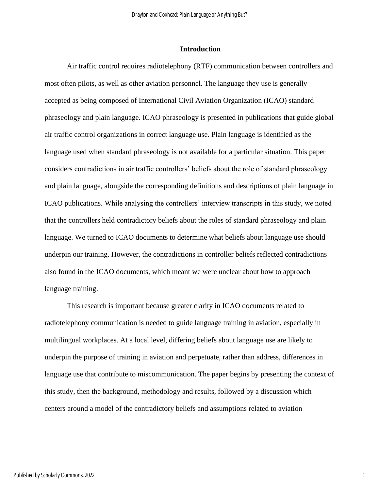## **Introduction**

Air traffic control requires radiotelephony (RTF) communication between controllers and most often pilots, as well as other aviation personnel. The language they use is generally accepted as being composed of International Civil Aviation Organization (ICAO) standard phraseology and plain language. ICAO phraseology is presented in publications that guide global air traffic control organizations in correct language use. Plain language is identified as the language used when standard phraseology is not available for a particular situation. This paper considers contradictions in air traffic controllers' beliefs about the role of standard phraseology and plain language, alongside the corresponding definitions and descriptions of plain language in ICAO publications. While analysing the controllers' interview transcripts in this study, we noted that the controllers held contradictory beliefs about the roles of standard phraseology and plain language. We turned to ICAO documents to determine what beliefs about language use should underpin our training. However, the contradictions in controller beliefs reflected contradictions also found in the ICAO documents, which meant we were unclear about how to approach language training.

This research is important because greater clarity in ICAO documents related to radiotelephony communication is needed to guide language training in aviation, especially in multilingual workplaces. At a local level, differing beliefs about language use are likely to underpin the purpose of training in aviation and perpetuate, rather than address, differences in language use that contribute to miscommunication. The paper begins by presenting the context of this study, then the background, methodology and results, followed by a discussion which centers around a model of the contradictory beliefs and assumptions related to aviation

1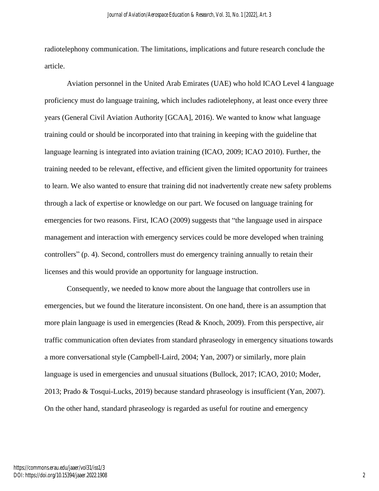radiotelephony communication. The limitations, implications and future research conclude the article.

Aviation personnel in the United Arab Emirates (UAE) who hold ICAO Level 4 language proficiency must do language training, which includes radiotelephony, at least once every three years (General Civil Aviation Authority [GCAA], 2016). We wanted to know what language training could or should be incorporated into that training in keeping with the guideline that language learning is integrated into aviation training (ICAO, 2009; ICAO 2010). Further, the training needed to be relevant, effective, and efficient given the limited opportunity for trainees to learn. We also wanted to ensure that training did not inadvertently create new safety problems through a lack of expertise or knowledge on our part. We focused on language training for emergencies for two reasons. First, ICAO (2009) suggests that "the language used in airspace management and interaction with emergency services could be more developed when training controllers" (p. 4). Second, controllers must do emergency training annually to retain their licenses and this would provide an opportunity for language instruction.

Consequently, we needed to know more about the language that controllers use in emergencies, but we found the literature inconsistent. On one hand, there is an assumption that more plain language is used in emergencies (Read & Knoch, 2009). From this perspective, air traffic communication often deviates from standard phraseology in emergency situations towards a more conversational style (Campbell-Laird, 2004; Yan, 2007) or similarly, more plain language is used in emergencies and unusual situations (Bullock, 2017; ICAO, 2010; Moder, 2013; Prado & Tosqui-Lucks, 2019) because standard phraseology is insufficient (Yan, 2007). On the other hand, standard phraseology is regarded as useful for routine and emergency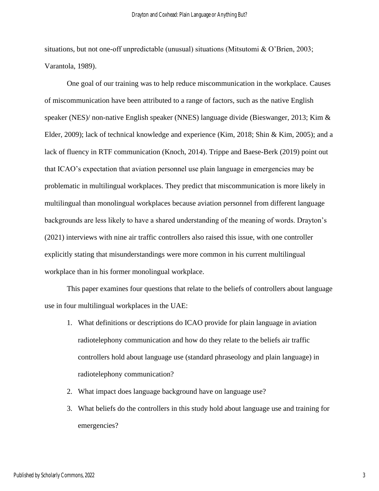situations, but not one-off unpredictable (unusual) situations (Mitsutomi & O'Brien, 2003; Varantola, 1989).

One goal of our training was to help reduce miscommunication in the workplace. Causes of miscommunication have been attributed to a range of factors, such as the native English speaker (NES)/ non-native English speaker (NNES) language divide (Bieswanger, 2013; Kim & Elder, 2009); lack of technical knowledge and experience (Kim, 2018; Shin & Kim, 2005); and a lack of fluency in RTF communication (Knoch, 2014). Trippe and Baese-Berk (2019) point out that ICAO's expectation that aviation personnel use plain language in emergencies may be problematic in multilingual workplaces. They predict that miscommunication is more likely in multilingual than monolingual workplaces because aviation personnel from different language backgrounds are less likely to have a shared understanding of the meaning of words. Drayton's (2021) interviews with nine air traffic controllers also raised this issue, with one controller explicitly stating that misunderstandings were more common in his current multilingual workplace than in his former monolingual workplace.

This paper examines four questions that relate to the beliefs of controllers about language use in four multilingual workplaces in the UAE:

- 1. What definitions or descriptions do ICAO provide for plain language in aviation radiotelephony communication and how do they relate to the beliefs air traffic controllers hold about language use (standard phraseology and plain language) in radiotelephony communication?
- 2. What impact does language background have on language use?
- 3. What beliefs do the controllers in this study hold about language use and training for emergencies?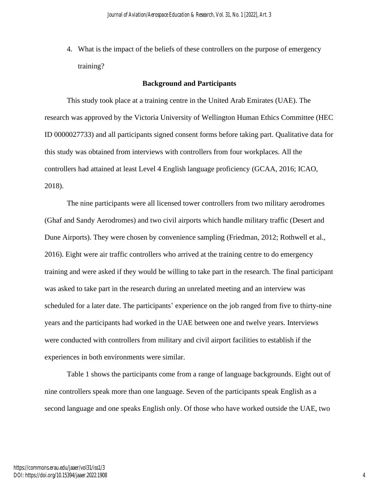4. What is the impact of the beliefs of these controllers on the purpose of emergency training?

## **Background and Participants**

This study took place at a training centre in the United Arab Emirates (UAE). The research was approved by the Victoria University of Wellington Human Ethics Committee (HEC ID 0000027733) and all participants signed consent forms before taking part. Qualitative data for this study was obtained from interviews with controllers from four workplaces. All the controllers had attained at least Level 4 English language proficiency (GCAA, 2016; ICAO, 2018).

The nine participants were all licensed tower controllers from two military aerodromes (Ghaf and Sandy Aerodromes) and two civil airports which handle military traffic (Desert and Dune Airports). They were chosen by convenience sampling (Friedman, 2012; Rothwell et al., 2016). Eight were air traffic controllers who arrived at the training centre to do emergency training and were asked if they would be willing to take part in the research. The final participant was asked to take part in the research during an unrelated meeting and an interview was scheduled for a later date. The participants' experience on the job ranged from five to thirty-nine years and the participants had worked in the UAE between one and twelve years. Interviews were conducted with controllers from military and civil airport facilities to establish if the experiences in both environments were similar.

Table 1 shows the participants come from a range of language backgrounds. Eight out of nine controllers speak more than one language. Seven of the participants speak English as a second language and one speaks English only. Of those who have worked outside the UAE, two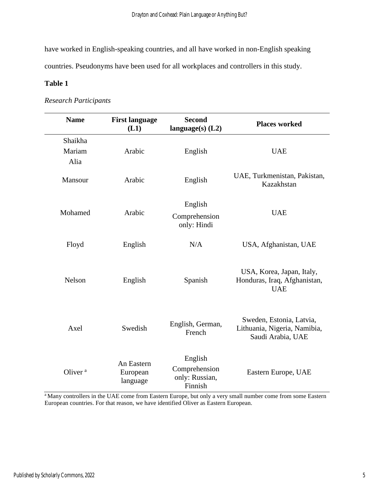have worked in English-speaking countries, and all have worked in non-English speaking countries. Pseudonyms have been used for all workplaces and controllers in this study.

## **Table 1**

# *Research Participants*

| <b>Name</b>               | <b>First language</b><br>(L1)      | <b>Second</b><br>language $(s)$ (L2)                  | <b>Places worked</b>                                                          |
|---------------------------|------------------------------------|-------------------------------------------------------|-------------------------------------------------------------------------------|
| Shaikha<br>Mariam<br>Alia | Arabic                             | English                                               | <b>UAE</b>                                                                    |
| Mansour                   | Arabic                             | English                                               | UAE, Turkmenistan, Pakistan,<br>Kazakhstan                                    |
| Mohamed                   | Arabic                             | English<br>Comprehension<br>only: Hindi               | <b>UAE</b>                                                                    |
| Floyd                     | English                            | N/A                                                   | USA, Afghanistan, UAE                                                         |
| Nelson                    | English                            | Spanish                                               | USA, Korea, Japan, Italy,<br>Honduras, Iraq, Afghanistan,<br><b>UAE</b>       |
| Axel                      | Swedish                            | English, German,<br>French                            | Sweden, Estonia, Latvia,<br>Lithuania, Nigeria, Namibia,<br>Saudi Arabia, UAE |
| Oliver <sup>a</sup>       | An Eastern<br>European<br>language | English<br>Comprehension<br>only: Russian,<br>Finnish | Eastern Europe, UAE                                                           |

<sup>a</sup>Many controllers in the UAE come from Eastern Europe, but only a very small number come from some Eastern European countries. For that reason, we have identified Oliver as Eastern European.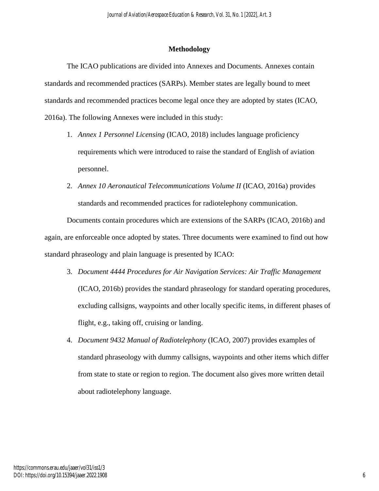### **Methodology**

The ICAO publications are divided into Annexes and Documents. Annexes contain standards and recommended practices (SARPs). Member states are legally bound to meet standards and recommended practices become legal once they are adopted by states (ICAO, 2016a). The following Annexes were included in this study:

- 1. *Annex 1 Personnel Licensing* (ICAO, 2018) includes language proficiency requirements which were introduced to raise the standard of English of aviation personnel.
- 2. *Annex 10 Aeronautical Telecommunications Volume II* (ICAO, 2016a) provides standards and recommended practices for radiotelephony communication.

Documents contain procedures which are extensions of the SARPs (ICAO, 2016b) and again, are enforceable once adopted by states. Three documents were examined to find out how standard phraseology and plain language is presented by ICAO:

- 3. *Document 4444 Procedures for Air Navigation Services: Air Traffic Management*  (ICAO, 2016b) provides the standard phraseology for standard operating procedures, excluding callsigns, waypoints and other locally specific items, in different phases of flight, e.g., taking off, cruising or landing.
- 4. *Document 9432 Manual of Radiotelephony* (ICAO, 2007) provides examples of standard phraseology with dummy callsigns, waypoints and other items which differ from state to state or region to region. The document also gives more written detail about radiotelephony language.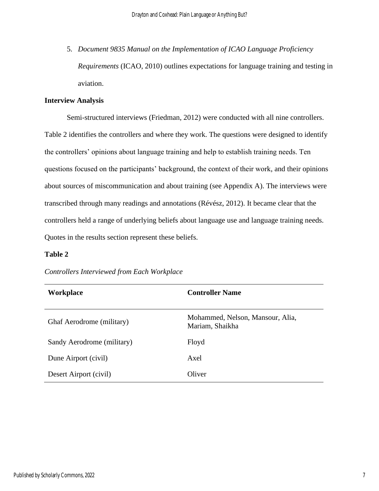5. *Document 9835 Manual on the Implementation of ICAO Language Proficiency Requirements* (ICAO, 2010) outlines expectations for language training and testing in aviation.

## **Interview Analysis**

Semi-structured interviews (Friedman, 2012) were conducted with all nine controllers. Table 2 identifies the controllers and where they work. The questions were designed to identify the controllers' opinions about language training and help to establish training needs. Ten questions focused on the participants' background, the context of their work, and their opinions about sources of miscommunication and about training (see Appendix A). The interviews were transcribed through many readings and annotations (Révész, 2012). It became clear that the controllers held a range of underlying beliefs about language use and language training needs. Quotes in the results section represent these beliefs.

## **Table 2**

| Workplace                  | <b>Controller Name</b>                              |  |
|----------------------------|-----------------------------------------------------|--|
| Ghaf Aerodrome (military)  | Mohammed, Nelson, Mansour, Alia,<br>Mariam, Shaikha |  |
| Sandy Aerodrome (military) | Floyd                                               |  |
| Dune Airport (civil)       | Axel                                                |  |
| Desert Airport (civil)     | Oliver                                              |  |

*Controllers Interviewed from Each Workplace*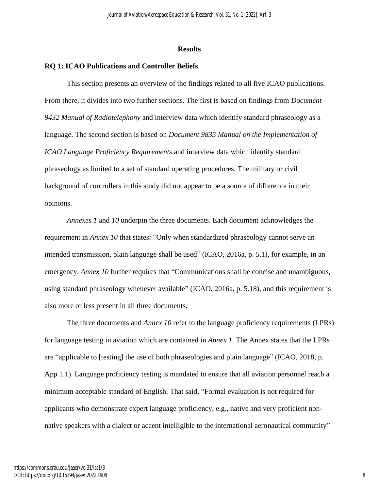### **Results**

## **RQ 1: ICAO Publications and Controller Beliefs**

This section presents an overview of the findings related to all five ICAO publications. From there, it divides into two further sections. The first is based on findings from *Document 9432 Manual of Radiotelephony* and interview data which identify standard phraseology as a language. The second section is based on *Document 9835 Manual on the Implementation of ICAO Language Proficiency Requirements* and interview data which identify standard phraseology as limited to a set of standard operating procedures. The military or civil background of controllers in this study did not appear to be a source of difference in their opinions.

*Annexes 1* and *10* underpin the three documents. Each document acknowledges the requirement in *Annex 10* that states: "Only when standardized phraseology cannot serve an intended transmission, plain language shall be used" (ICAO, 2016a, p. 5.1), for example, in an emergency. *Annex 10* further requires that "Communications shall be concise and unambiguous, using standard phraseology whenever available" (ICAO, 2016a, p. 5.18), and this requirement is also more or less present in all three documents.

The three documents and *Annex 10* refer to the language proficiency requirements (LPRs) for language testing in aviation which are contained in *Annex 1.* The Annex states that the LPRs are "applicable to [testing] the use of both phraseologies and plain language" (ICAO, 2018, p. App 1.1). Language proficiency testing is mandated to ensure that all aviation personnel reach a minimum acceptable standard of English. That said, "Formal evaluation is not required for applicants who demonstrate expert language proficiency, e.g., native and very proficient nonnative speakers with a dialect or accent intelligible to the international aeronautical community"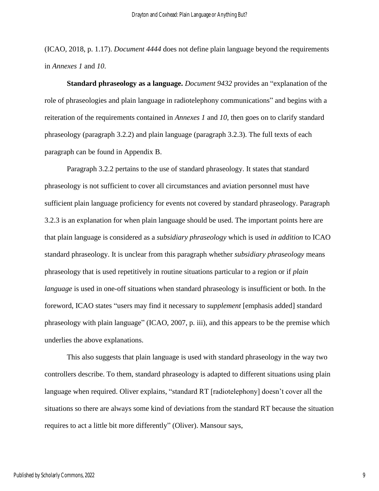(ICAO, 2018, p. 1.17). *Document 4444* does not define plain language beyond the requirements in *Annexes 1* and *10*.

**Standard phraseology as a language.** *Document 9432* provides an "explanation of the role of phraseologies and plain language in radiotelephony communications" and begins with a reiteration of the requirements contained in *Annexes 1* and *10,* then goes on to clarify standard phraseology (paragraph 3.2.2) and plain language (paragraph 3.2.3). The full texts of each paragraph can be found in Appendix B.

Paragraph 3.2.2 pertains to the use of standard phraseology. It states that standard phraseology is not sufficient to cover all circumstances and aviation personnel must have sufficient plain language proficiency for events not covered by standard phraseology. Paragraph 3.2.3 is an explanation for when plain language should be used. The important points here are that plain language is considered as a *subsidiary phraseology* which is used *in addition* to ICAO standard phraseology. It is unclear from this paragraph whether *subsidiary phraseology* means phraseology that is used repetitively in routine situations particular to a region or if *plain language* is used in one-off situations when standard phraseology is insufficient or both. In the foreword, ICAO states "users may find it necessary to *supplement* [emphasis added] standard phraseology with plain language" (ICAO, 2007, p. iii), and this appears to be the premise which underlies the above explanations.

This also suggests that plain language is used with standard phraseology in the way two controllers describe. To them, standard phraseology is adapted to different situations using plain language when required. Oliver explains, "standard RT [radiotelephony] doesn't cover all the situations so there are always some kind of deviations from the standard RT because the situation requires to act a little bit more differently" (Oliver). Mansour says,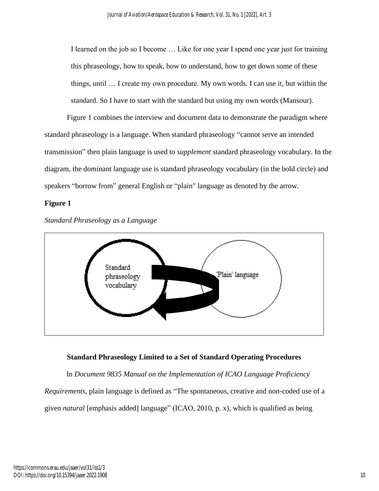I learned on the job so I become … Like for one year I spend one year just for training this phraseology, how to speak, how to understand, how to get down some of these things, until … I create my own procedure. My own words. I can use it, but within the standard. So I have to start with the standard but using my own words (Mansour).

Figure 1 combines the interview and document data to demonstrate the paradigm where standard phraseology is a language. When standard phraseology "cannot serve an intended transmission" then plain language is used to *supplement* standard phraseology vocabulary. In the diagram, the dominant language use is standard phraseology vocabulary (in the bold circle) and speakers "borrow from" general English or "plain" language as denoted by the arrow.

## **Figure 1**



*Standard Phraseology as a Language*

## **Standard Phraseology Limited to a Set of Standard Operating Procedures**

In *Document 9835 Manual on the Implementation of ICAO Language Proficiency Requirements*, plain language is defined as "The spontaneous, creative and non-coded use of a

given *natural* [emphasis added] language" (ICAO, 2010, p. x), which is qualified as being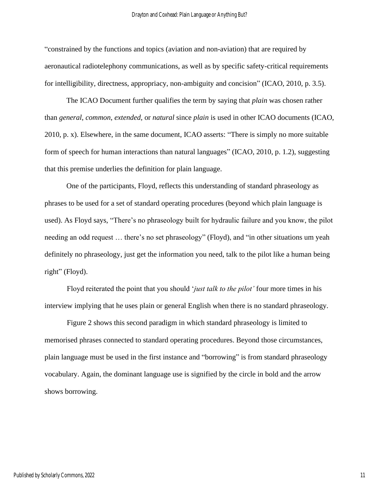"constrained by the functions and topics (aviation and non-aviation) that are required by aeronautical radiotelephony communications, as well as by specific safety-critical requirements for intelligibility, directness, appropriacy, non-ambiguity and concision" (ICAO, 2010, p. 3.5).

The ICAO Document further qualifies the term by saying that *plain* was chosen rather than *general*, *common*, *extended,* or *natural* since *plain* is used in other ICAO documents (ICAO, 2010, p. x). Elsewhere, in the same document, ICAO asserts: "There is simply no more suitable form of speech for human interactions than natural languages" (ICAO, 2010, p. 1.2), suggesting that this premise underlies the definition for plain language.

One of the participants, Floyd, reflects this understanding of standard phraseology as phrases to be used for a set of standard operating procedures (beyond which plain language is used). As Floyd says, "There's no phraseology built for hydraulic failure and you know, the pilot needing an odd request … there's no set phraseology" (Floyd), and "in other situations um yeah definitely no phraseology, just get the information you need, talk to the pilot like a human being right" (Floyd).

Floyd reiterated the point that you should '*just talk to the pilot'* four more times in his interview implying that he uses plain or general English when there is no standard phraseology.

Figure 2 shows this second paradigm in which standard phraseology is limited to memorised phrases connected to standard operating procedures. Beyond those circumstances, plain language must be used in the first instance and "borrowing" is from standard phraseology vocabulary. Again, the dominant language use is signified by the circle in bold and the arrow shows borrowing.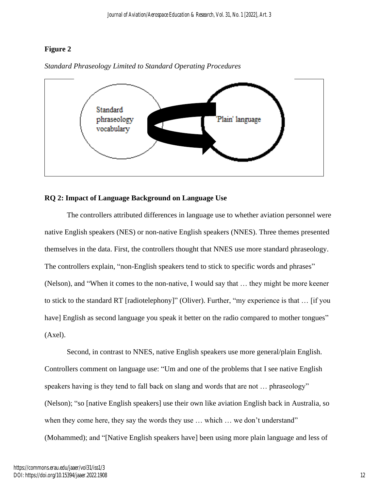## **Figure 2**



*Standard Phraseology Limited to Standard Operating Procedures*

## **RQ 2: Impact of Language Background on Language Use**

The controllers attributed differences in language use to whether aviation personnel were native English speakers (NES) or non-native English speakers (NNES). Three themes presented themselves in the data. First, the controllers thought that NNES use more standard phraseology. The controllers explain, "non-English speakers tend to stick to specific words and phrases" (Nelson), and "When it comes to the non-native, I would say that … they might be more keener to stick to the standard RT [radiotelephony]" (Oliver). Further, "my experience is that … [if you have] English as second language you speak it better on the radio compared to mother tongues" (Axel).

Second, in contrast to NNES, native English speakers use more general/plain English. Controllers comment on language use: "Um and one of the problems that I see native English speakers having is they tend to fall back on slang and words that are not … phraseology" (Nelson); "so [native English speakers] use their own like aviation English back in Australia, so when they come here, they say the words they use ... which ... we don't understand" (Mohammed); and "[Native English speakers have] been using more plain language and less of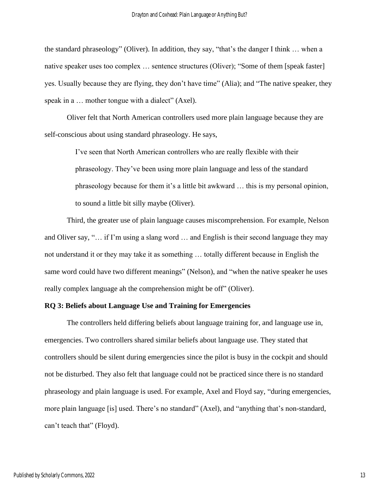the standard phraseology" (Oliver). In addition, they say, "that's the danger I think … when a native speaker uses too complex … sentence structures (Oliver); "Some of them [speak faster] yes. Usually because they are flying, they don't have time" (Alia); and "The native speaker, they speak in a ... mother tongue with a dialect" (Axel).

Oliver felt that North American controllers used more plain language because they are self-conscious about using standard phraseology. He says,

> I've seen that North American controllers who are really flexible with their phraseology. They've been using more plain language and less of the standard phraseology because for them it's a little bit awkward … this is my personal opinion, to sound a little bit silly maybe (Oliver).

Third, the greater use of plain language causes miscomprehension. For example, Nelson and Oliver say, "… if I'm using a slang word … and English is their second language they may not understand it or they may take it as something … totally different because in English the same word could have two different meanings" (Nelson), and "when the native speaker he uses really complex language ah the comprehension might be off" (Oliver).

### **RQ 3: Beliefs about Language Use and Training for Emergencies**

The controllers held differing beliefs about language training for, and language use in, emergencies. Two controllers shared similar beliefs about language use. They stated that controllers should be silent during emergencies since the pilot is busy in the cockpit and should not be disturbed. They also felt that language could not be practiced since there is no standard phraseology and plain language is used. For example, Axel and Floyd say, "during emergencies, more plain language [is] used. There's no standard" (Axel), and "anything that's non-standard, can't teach that" (Floyd).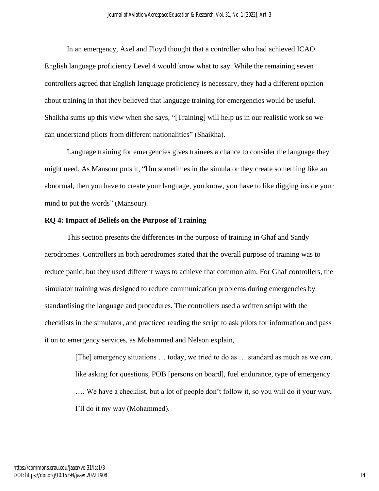In an emergency, Axel and Floyd thought that a controller who had achieved ICAO English language proficiency Level 4 would know what to say. While the remaining seven controllers agreed that English language proficiency is necessary, they had a different opinion about training in that they believed that language training for emergencies would be useful. Shaikha sums up this view when she says, "[Training] will help us in our realistic work so we can understand pilots from different nationalities" (Shaikha).

Language training for emergencies gives trainees a chance to consider the language they might need. As Mansour puts it, "Um sometimes in the simulator they create something like an abnormal, then you have to create your language, you know, you have to like digging inside your mind to put the words" (Mansour).

#### **RQ 4: Impact of Beliefs on the Purpose of Training**

This section presents the differences in the purpose of training in Ghaf and Sandy aerodromes. Controllers in both aerodromes stated that the overall purpose of training was to reduce panic, but they used different ways to achieve that common aim. For Ghaf controllers, the simulator training was designed to reduce communication problems during emergencies by standardising the language and procedures. The controllers used a written script with the checklists in the simulator, and practiced reading the script to ask pilots for information and pass it on to emergency services, as Mohammed and Nelson explain,

> [The] emergency situations … today, we tried to do as … standard as much as we can, like asking for questions, POB [persons on board], fuel endurance, type of emergency. …. We have a checklist, but a lot of people don't follow it, so you will do it your way, I'll do it my way (Mohammed).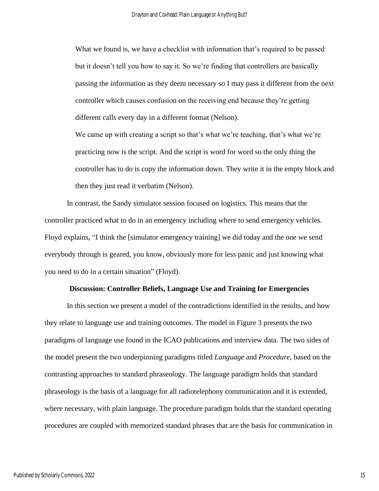What we found is, we have a checklist with information that's required to be passed but it doesn't tell you how to say it. So we're finding that controllers are basically passing the information as they deem necessary so I may pass it different from the next controller which causes confusion on the receiving end because they're getting different calls every day in a different format (Nelson).

We came up with creating a script so that's what we're teaching, that's what we're practicing now is the script. And the script is word for word so the only thing the controller has to do is copy the information down. They write it in the empty block and then they just read it verbatim (Nelson).

In contrast, the Sandy simulator session focused on logistics. This means that the controller practiced what to do in an emergency including where to send emergency vehicles. Floyd explains, "I think the [simulator emergency training] we did today and the one we send everybody through is geared, you know, obviously more for less panic and just knowing what you need to do in a certain situation" (Floyd).

#### **Discussion: Controller Beliefs, Language Use and Training for Emergencies**

In this section we present a model of the contradictions identified in the results, and how they relate to language use and training outcomes. The model in Figure 3 presents the two paradigms of language use found in the ICAO publications and interview data. The two sides of the model present the two underpinning paradigms titled *Language* and *Procedure*, based on the contrasting approaches to standard phraseology. The language paradigm holds that standard phraseology is the basis of a language for all radiotelephony communication and it is extended, where necessary, with plain language. The procedure paradigm holds that the standard operating procedures are coupled with memorized standard phrases that are the basis for communication in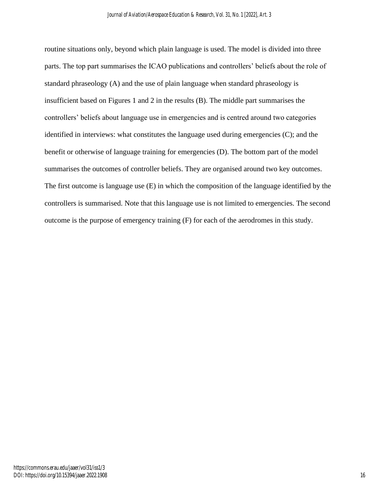routine situations only, beyond which plain language is used. The model is divided into three parts. The top part summarises the ICAO publications and controllers' beliefs about the role of standard phraseology (A) and the use of plain language when standard phraseology is insufficient based on Figures 1 and 2 in the results (B). The middle part summarises the controllers' beliefs about language use in emergencies and is centred around two categories identified in interviews: what constitutes the language used during emergencies (C); and the benefit or otherwise of language training for emergencies (D). The bottom part of the model summarises the outcomes of controller beliefs. They are organised around two key outcomes. The first outcome is language use (E) in which the composition of the language identified by the controllers is summarised. Note that this language use is not limited to emergencies. The second outcome is the purpose of emergency training (F) for each of the aerodromes in this study.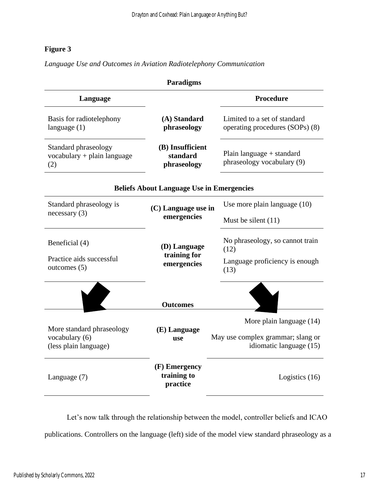# **Figure 3**

*Language Use and Outcomes in Aviation Radiotelephony Communication*

| <b>Paradigms</b>                                                                                            |                                          |                                                                 |  |  |  |
|-------------------------------------------------------------------------------------------------------------|------------------------------------------|-----------------------------------------------------------------|--|--|--|
| Language                                                                                                    |                                          | <b>Procedure</b>                                                |  |  |  |
| Basis for radiotelephony<br>language $(1)$                                                                  | (A) Standard<br>phraseology              | Limited to a set of standard<br>operating procedures (SOPs) (8) |  |  |  |
| (B) Insufficient<br>Standard phraseology<br>standard<br>$vocabulary + plain language$<br>phraseology<br>(2) |                                          | Plain language $+$ standard<br>phraseology vocabulary (9)       |  |  |  |
| <b>Beliefs About Language Use in Emergencies</b>                                                            |                                          |                                                                 |  |  |  |
| Standard phraseology is                                                                                     | (C) Language use in                      | Use more plain language (10)                                    |  |  |  |
| necessary(3)                                                                                                | emergencies                              | Must be silent $(11)$                                           |  |  |  |
| Beneficial (4)                                                                                              | (D) Language<br>training for             | No phraseology, so cannot train<br>(12)                         |  |  |  |
| Practice aids successful<br>outcomes $(5)$                                                                  | emergencies                              | Language proficiency is enough<br>(13)                          |  |  |  |
| <b>Outcomes</b>                                                                                             |                                          |                                                                 |  |  |  |
|                                                                                                             |                                          | More plain language (14)                                        |  |  |  |
| More standard phraseology<br>vocabulary (6)<br>(less plain language)                                        | (E) Language<br><b>use</b>               | May use complex grammar; slang or<br>idiomatic language (15)    |  |  |  |
| Language (7)                                                                                                | (F) Emergency<br>training to<br>practice | Logistics (16)                                                  |  |  |  |

Let's now talk through the relationship between the model, controller beliefs and ICAO publications. Controllers on the language (left) side of the model view standard phraseology as a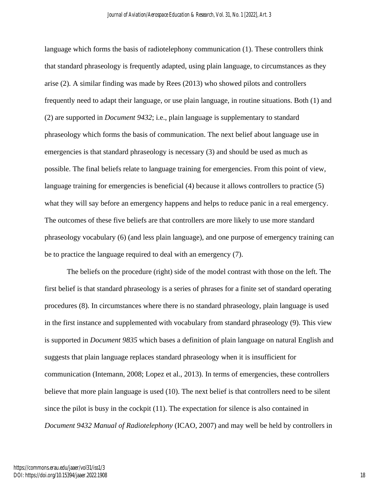language which forms the basis of radiotelephony communication (1). These controllers think that standard phraseology is frequently adapted, using plain language, to circumstances as they arise (2). A similar finding was made by Rees (2013) who showed pilots and controllers frequently need to adapt their language, or use plain language, in routine situations. Both (1) and (2) are supported in *Document 9432*; i.e., plain language is supplementary to standard phraseology which forms the basis of communication. The next belief about language use in emergencies is that standard phraseology is necessary (3) and should be used as much as possible. The final beliefs relate to language training for emergencies. From this point of view, language training for emergencies is beneficial (4) because it allows controllers to practice (5) what they will say before an emergency happens and helps to reduce panic in a real emergency. The outcomes of these five beliefs are that controllers are more likely to use more standard phraseology vocabulary (6) (and less plain language), and one purpose of emergency training can be to practice the language required to deal with an emergency (7).

The beliefs on the procedure (right) side of the model contrast with those on the left. The first belief is that standard phraseology is a series of phrases for a finite set of standard operating procedures (8). In circumstances where there is no standard phraseology, plain language is used in the first instance and supplemented with vocabulary from standard phraseology (9). This view is supported in *Document 9835* which bases a definition of plain language on natural English and suggests that plain language replaces standard phraseology when it is insufficient for communication (Intemann, 2008; Lopez et al., 2013). In terms of emergencies, these controllers believe that more plain language is used (10). The next belief is that controllers need to be silent since the pilot is busy in the cockpit (11). The expectation for silence is also contained in *Document 9432 Manual of Radiotelephony* (ICAO, 2007) and may well be held by controllers in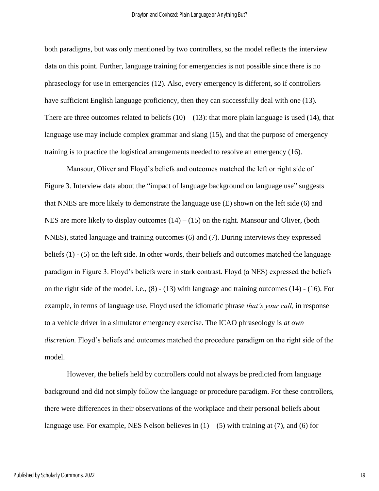both paradigms, but was only mentioned by two controllers, so the model reflects the interview data on this point. Further, language training for emergencies is not possible since there is no phraseology for use in emergencies (12). Also, every emergency is different, so if controllers have sufficient English language proficiency, then they can successfully deal with one (13). There are three outcomes related to beliefs  $(10) - (13)$ : that more plain language is used (14), that language use may include complex grammar and slang (15), and that the purpose of emergency training is to practice the logistical arrangements needed to resolve an emergency (16).

Mansour, Oliver and Floyd's beliefs and outcomes matched the left or right side of Figure 3. Interview data about the "impact of language background on language use" suggests that NNES are more likely to demonstrate the language use (E) shown on the left side (6) and NES are more likely to display outcomes  $(14) - (15)$  on the right. Mansour and Oliver, (both NNES), stated language and training outcomes (6) and (7). During interviews they expressed beliefs (1) - (5) on the left side. In other words, their beliefs and outcomes matched the language paradigm in Figure 3. Floyd's beliefs were in stark contrast. Floyd (a NES) expressed the beliefs on the right side of the model, i.e.,  $(8) - (13)$  with language and training outcomes  $(14) - (16)$ . For example, in terms of language use, Floyd used the idiomatic phrase *that's your call,* in response to a vehicle driver in a simulator emergency exercise. The ICAO phraseology is *at own discretion.* Floyd's beliefs and outcomes matched the procedure paradigm on the right side of the model.

However, the beliefs held by controllers could not always be predicted from language background and did not simply follow the language or procedure paradigm. For these controllers, there were differences in their observations of the workplace and their personal beliefs about language use. For example, NES Nelson believes in  $(1) - (5)$  with training at  $(7)$ , and  $(6)$  for

19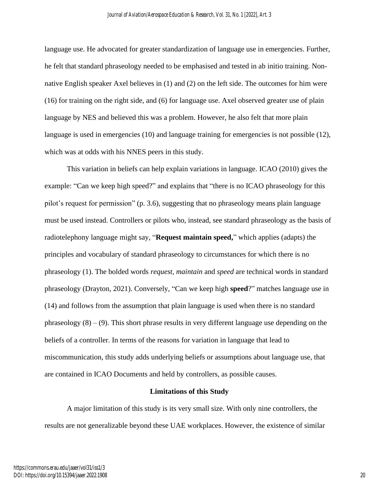language use. He advocated for greater standardization of language use in emergencies. Further, he felt that standard phraseology needed to be emphasised and tested in ab initio training. Nonnative English speaker Axel believes in (1) and (2) on the left side. The outcomes for him were (16) for training on the right side, and (6) for language use. Axel observed greater use of plain language by NES and believed this was a problem. However, he also felt that more plain language is used in emergencies (10) and language training for emergencies is not possible (12), which was at odds with his NNES peers in this study.

This variation in beliefs can help explain variations in language. ICAO (2010) gives the example: "Can we keep high speed?" and explains that "there is no ICAO phraseology for this pilot's request for permission" (p. 3.6), suggesting that no phraseology means plain language must be used instead. Controllers or pilots who, instead, see standard phraseology as the basis of radiotelephony language might say, "**Request maintain speed,**" which applies (adapts) the principles and vocabulary of standard phraseology to circumstances for which there is no phraseology (1). The bolded words *request, maintain* and *speed* are technical words in standard phraseology (Drayton, 2021). Conversely, "Can we keep high **speed**?" matches language use in (14) and follows from the assumption that plain language is used when there is no standard phraseology  $(8) - (9)$ . This short phrase results in very different language use depending on the beliefs of a controller. In terms of the reasons for variation in language that lead to miscommunication, this study adds underlying beliefs or assumptions about language use, that are contained in ICAO Documents and held by controllers, as possible causes.

### **Limitations of this Study**

A major limitation of this study is its very small size. With only nine controllers, the results are not generalizable beyond these UAE workplaces. However, the existence of similar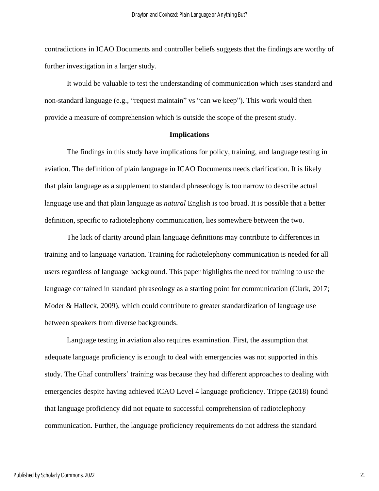contradictions in ICAO Documents and controller beliefs suggests that the findings are worthy of further investigation in a larger study.

It would be valuable to test the understanding of communication which uses standard and non-standard language (e.g., "request maintain" vs "can we keep"). This work would then provide a measure of comprehension which is outside the scope of the present study.

## **Implications**

The findings in this study have implications for policy, training, and language testing in aviation. The definition of plain language in ICAO Documents needs clarification. It is likely that plain language as a supplement to standard phraseology is too narrow to describe actual language use and that plain language as *natural* English is too broad. It is possible that a better definition, specific to radiotelephony communication, lies somewhere between the two.

The lack of clarity around plain language definitions may contribute to differences in training and to language variation. Training for radiotelephony communication is needed for all users regardless of language background. This paper highlights the need for training to use the language contained in standard phraseology as a starting point for communication (Clark, 2017; Moder & Halleck, 2009), which could contribute to greater standardization of language use between speakers from diverse backgrounds.

Language testing in aviation also requires examination. First, the assumption that adequate language proficiency is enough to deal with emergencies was not supported in this study. The Ghaf controllers' training was because they had different approaches to dealing with emergencies despite having achieved ICAO Level 4 language proficiency. Trippe (2018) found that language proficiency did not equate to successful comprehension of radiotelephony communication. Further, the language proficiency requirements do not address the standard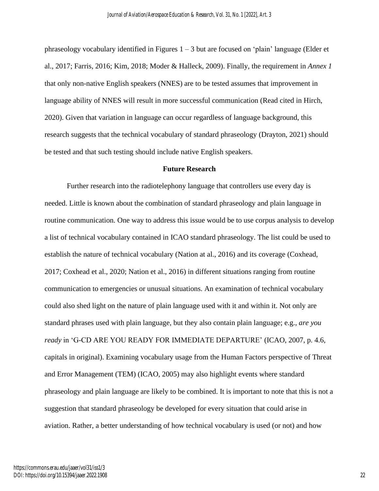phraseology vocabulary identified in Figures  $1 - 3$  but are focused on 'plain' language (Elder et al., 2017; Farris, 2016; Kim, 2018; Moder & Halleck, 2009). Finally, the requirement in *Annex 1*  that only non-native English speakers (NNES) are to be tested assumes that improvement in language ability of NNES will result in more successful communication (Read cited in Hirch, 2020). Given that variation in language can occur regardless of language background, this research suggests that the technical vocabulary of standard phraseology (Drayton, 2021) should be tested and that such testing should include native English speakers.

### **Future Research**

Further research into the radiotelephony language that controllers use every day is needed. Little is known about the combination of standard phraseology and plain language in routine communication. One way to address this issue would be to use corpus analysis to develop a list of technical vocabulary contained in ICAO standard phraseology. The list could be used to establish the nature of technical vocabulary (Nation at al., 2016) and its coverage (Coxhead, 2017; Coxhead et al., 2020; Nation et al., 2016) in different situations ranging from routine communication to emergencies or unusual situations. An examination of technical vocabulary could also shed light on the nature of plain language used with it and within it. Not only are standard phrases used with plain language, but they also contain plain language; e.g., *are you ready* in 'G-CD ARE YOU READY FOR IMMEDIATE DEPARTURE' (ICAO, 2007, p. 4.6, capitals in original). Examining vocabulary usage from the Human Factors perspective of Threat and Error Management (TEM) (ICAO, 2005) may also highlight events where standard phraseology and plain language are likely to be combined. It is important to note that this is not a suggestion that standard phraseology be developed for every situation that could arise in aviation. Rather, a better understanding of how technical vocabulary is used (or not) and how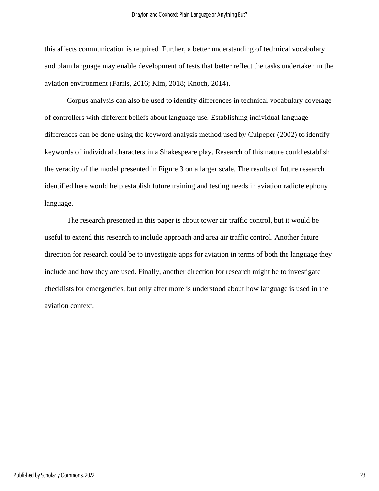this affects communication is required. Further, a better understanding of technical vocabulary and plain language may enable development of tests that better reflect the tasks undertaken in the aviation environment (Farris, 2016; Kim, 2018; Knoch, 2014).

Corpus analysis can also be used to identify differences in technical vocabulary coverage of controllers with different beliefs about language use. Establishing individual language differences can be done using the keyword analysis method used by Culpeper (2002) to identify keywords of individual characters in a Shakespeare play. Research of this nature could establish the veracity of the model presented in Figure 3 on a larger scale. The results of future research identified here would help establish future training and testing needs in aviation radiotelephony language.

The research presented in this paper is about tower air traffic control, but it would be useful to extend this research to include approach and area air traffic control. Another future direction for research could be to investigate apps for aviation in terms of both the language they include and how they are used. Finally, another direction for research might be to investigate checklists for emergencies, but only after more is understood about how language is used in the aviation context.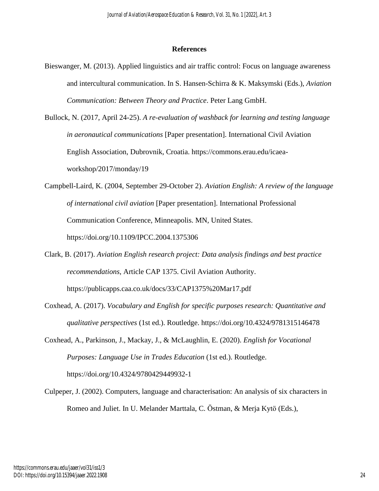## **References**

- Bieswanger, M. (2013). Applied linguistics and air traffic control: Focus on language awareness and intercultural communication. In S. Hansen-Schirra & K. Maksymski (Eds.), *Aviation Communication: Between Theory and Practice*. Peter Lang GmbH.
- Bullock, N. (2017, April 24-25). *A re-evaluation of washback for learning and testing language in aeronautical communications* [Paper presentation]. International Civil Aviation English Association, Dubrovnik, Croatia. https://commons.erau.edu/icaeaworkshop/2017/monday/19
- Campbell-Laird, K. (2004, September 29-October 2). *Aviation English: A review of the language of international civil aviation* [Paper presentation]. International Professional Communication Conference, Minneapolis. MN, United States. <https://doi.org/10.1109/IPCC.2004.1375306>
- Clark, B. (2017). *Aviation English research project: Data analysis findings and best practice recommendations*, Article CAP 1375. Civil Aviation Authority. https://publicapps.caa.co.uk/docs/33/CAP1375%20Mar17.pdf
- Coxhead, A. (2017). *Vocabulary and English for specific purposes research: Quantitative and qualitative perspectives* (1st ed.). Routledge. <https://doi.org/10.4324/9781315146478>
- Coxhead, A., Parkinson, J., Mackay, J., & McLaughlin, E. (2020). *English for Vocational Purposes: Language Use in Trades Education* (1st ed.). Routledge. <https://doi.org/10.4324/9780429449932-1>
- Culpeper, J. (2002). Computers, language and characterisation: An analysis of six characters in Romeo and Juliet. In U. Melander Marttala, C. Östman, & Merja Kytö (Eds.),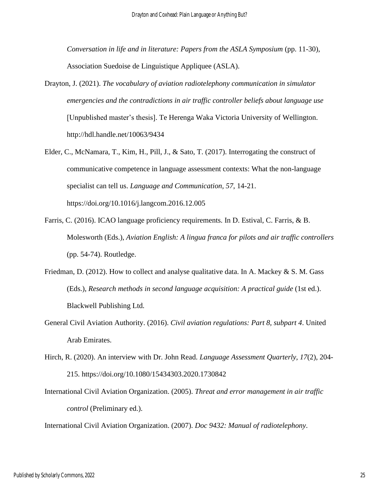*Conversation in life and in literature: Papers from the ASLA Symposium* (pp. 11-30)*,* Association Suedoise de Linguistique Appliquee (ASLA).

- Drayton, J. (2021). *The vocabulary of aviation radiotelephony communication in simulator emergencies and the contradictions in air traffic controller beliefs about language use* [Unpublished master's thesis]. Te Herenga Waka Victoria University of Wellington. <http://hdl.handle.net/10063/9434>
- Elder, C., McNamara, T., Kim, H., Pill, J., & Sato, T. (2017). Interrogating the construct of communicative competence in language assessment contexts: What the non-language specialist can tell us. *Language and Communication, 57*, 14-21. <https://doi.org/10.1016/j.langcom.2016.12.005>
- Farris, C. (2016). ICAO language proficiency requirements. In D. Estival, C. Farris, & B. Molesworth (Eds.), *Aviation English: A lingua franca for pilots and air traffic controllers* (pp. 54-74). Routledge.
- Friedman, D. (2012). How to collect and analyse qualitative data. In A. Mackey & S. M. Gass (Eds.), *Research methods in second language acquisition: A practical guide* (1st ed.). Blackwell Publishing Ltd.
- General Civil Aviation Authority. (2016). *Civil aviation regulations: Part 8, subpart 4*. United Arab Emirates.
- Hirch, R. (2020). An interview with Dr. John Read. *Language Assessment Quarterly, 17*(2), 204- 215.<https://doi.org/10.1080/15434303.2020.1730842>
- International Civil Aviation Organization. (2005). *Threat and error management in air traffic control* (Preliminary ed.).

International Civil Aviation Organization. (2007). *Doc 9432: Manual of radiotelephony*.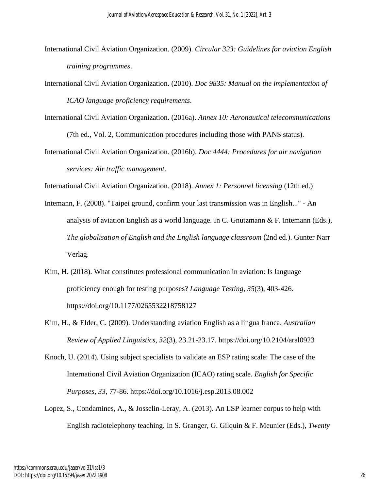- International Civil Aviation Organization. (2009). *Circular 323: Guidelines for aviation English training programmes*.
- International Civil Aviation Organization. (2010). *Doc 9835: Manual on the implementation of ICAO language proficiency requirements*.
- International Civil Aviation Organization. (2016a). *Annex 10: Aeronautical telecommunications* (7th ed., Vol. 2, Communication procedures including those with PANS status).
- International Civil Aviation Organization. (2016b). *Doc 4444: Procedures for air navigation services: Air traffic management*.

International Civil Aviation Organization. (2018). *Annex 1: Personnel licensing* (12th ed.)

- Intemann, F. (2008). "Taipei ground, confirm your last transmission was in English..." An analysis of aviation English as a world language. In C. Gnutzmann & F. Intemann (Eds.), *The globalisation of English and the English language classroom* (2nd ed.). Gunter Narr Verlag.
- Kim, H. (2018). What constitutes professional communication in aviation: Is language proficiency enough for testing purposes? *Language Testing, 35*(3), 403-426. <https://doi.org/10.1177/0265532218758127>
- Kim, H., & Elder, C. (2009). Understanding aviation English as a lingua franca. *Australian Review of Applied Linguistics, 32*(3), 23.21-23.17.<https://doi.org/10.2104/aral0923>
- Knoch, U. (2014). Using subject specialists to validate an ESP rating scale: The case of the International Civil Aviation Organization (ICAO) rating scale. *English for Specific Purposes, 33*, 77-86.<https://doi.org/10.1016/j.esp.2013.08.002>
- Lopez, S., Condamines, A., & Josselin-Leray, A. (2013). An LSP learner corpus to help with English radiotelephony teaching. In S. Granger, G. Gilquin & F. Meunier (Eds.), *Twenty*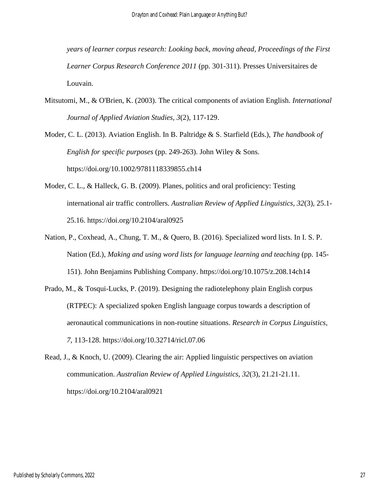*years of learner corpus research: Looking back, moving ahead, Proceedings of the First Learner Corpus Research Conference 2011* (pp. 301-311). Presses Universitaires de Louvain.

Mitsutomi, M., & O'Brien, K. (2003). The critical components of aviation English. *International Journal of Applied Aviation Studies, 3*(2), 117-129.

Moder, C. L. (2013). Aviation English. In B. Paltridge & S. Starfield (Eds.), *The handbook of English for specific purposes* (pp. 249-263). John Wiley & Sons. <https://doi.org/10.1002/9781118339855.ch14>

- Moder, C. L., & Halleck, G. B. (2009). Planes, politics and oral proficiency: Testing international air traffic controllers. *Australian Review of Applied Linguistics, 32*(3), 25.1- 25.16.<https://doi.org/10.2104/aral0925>
- Nation, P., Coxhead, A., Chung, T. M., & Quero, B. (2016). Specialized word lists. In I. S. P. Nation (Ed.), *Making and using word lists for language learning and teaching* (pp. 145- 151). John Benjamins Publishing Company.<https://doi.org/10.1075/z.208.14ch14>
- Prado, M., & Tosqui-Lucks, P. (2019). Designing the radiotelephony plain English corpus (RTPEC): A specialized spoken English language corpus towards a description of aeronautical communications in non-routine situations. *Research in Corpus Linguistics, 7*, 113-128.<https://doi.org/10.32714/ricl.07.06>
- Read, J., & Knoch, U. (2009). Clearing the air: Applied linguistic perspectives on aviation communication. *Australian Review of Applied Linguistics, 32*(3), 21.21-21.11. <https://doi.org/10.2104/aral0921>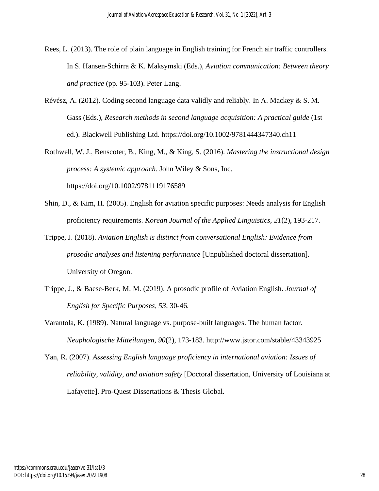- Rees, L. (2013). The role of plain language in English training for French air traffic controllers. In S. Hansen-Schirra & K. Maksymski (Eds.), *Aviation communication: Between theory and practice* (pp. 95-103). Peter Lang.
- Révész, A. (2012). Coding second language data validly and reliably. In A. Mackey & S. M. Gass (Eds.), *Research methods in second language acquisition: A practical guide* (1st ed.). Blackwell Publishing Ltd. <https://doi.org/10.1002/9781444347340.ch11>
- Rothwell, W. J., Benscoter, B., King, M., & King, S. (2016). *Mastering the instructional design process: A systemic approach*. John Wiley & Sons, Inc. <https://doi.org/10.1002/9781119176589>
- Shin, D., & Kim, H. (2005). English for aviation specific purposes: Needs analysis for English proficiency requirements. *Korean Journal of the Applied Linguistics, 21*(2), 193-217.
- Trippe, J. (2018). *Aviation English is distinct from conversational English: Evidence from prosodic analyses and listening performance* [Unpublished doctoral dissertation]. University of Oregon.
- Trippe, J., & Baese-Berk, M. M. (2019). A prosodic profile of Aviation English. *Journal of English for Specific Purposes, 53*, 30-46*.*
- Varantola, K. (1989). Natural language vs. purpose-built languages. The human factor. *Neuphologische Mitteilungen, 90*(2), 173-183.<http://www.jstor.com/stable/43343925>
- Yan, R. (2007). *Assessing English language proficiency in international aviation: Issues of reliability, validity, and aviation safety* [Doctoral dissertation, University of Louisiana at Lafayette]. Pro-Quest Dissertations & Thesis Global.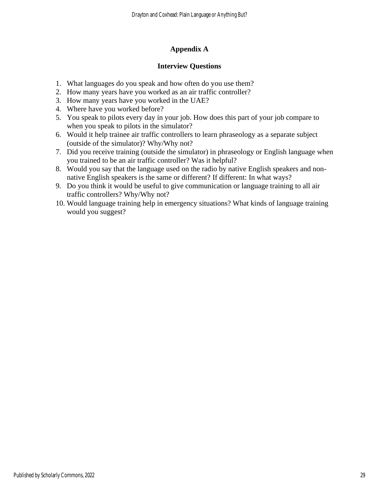# **Appendix A**

# **Interview Questions**

- 1. What languages do you speak and how often do you use them?
- 2. How many years have you worked as an air traffic controller?
- 3. How many years have you worked in the UAE?
- 4. Where have you worked before?
- 5. You speak to pilots every day in your job. How does this part of your job compare to when you speak to pilots in the simulator?
- 6. Would it help trainee air traffic controllers to learn phraseology as a separate subject (outside of the simulator)? Why/Why not?
- 7. Did you receive training (outside the simulator) in phraseology or English language when you trained to be an air traffic controller? Was it helpful?
- 8. Would you say that the language used on the radio by native English speakers and nonnative English speakers is the same or different? If different: In what ways?
- 9. Do you think it would be useful to give communication or language training to all air traffic controllers? Why/Why not?
- 10. Would language training help in emergency situations? What kinds of language training would you suggest?